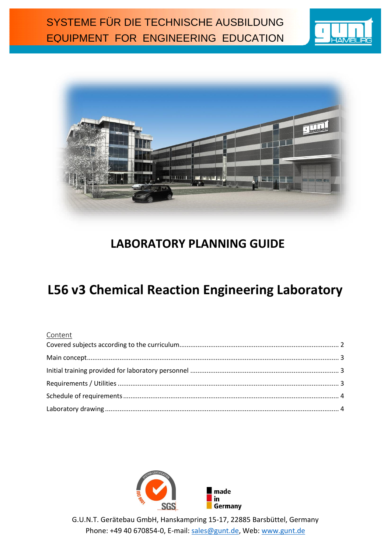



## **LABORATORY PLANNING GUIDE**

# **L56 v3 Chemical Reaction Engineering Laboratory**

#### Content



G.U.N.T. Gerätebau GmbH, Hanskampring 15-17, 22885 Barsbüttel, Germany Phone: +49 40 670854-0, E-mail: [sales@gunt.de,](mailto:sales@gunt.de) Web: [www.gunt.de](http://www.gunt.de/)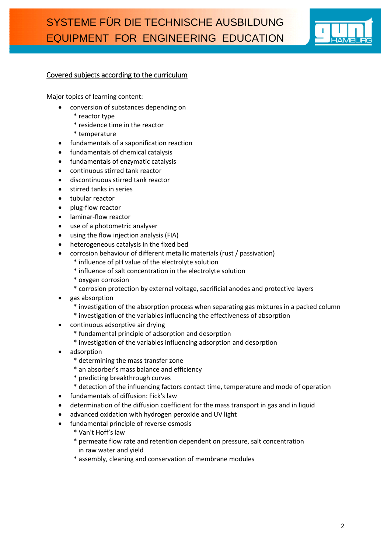

#### <span id="page-1-0"></span>Covered subjects according to the curriculum

Major topics of learning content:

- conversion of substances depending on
	- \* reactor type
	- \* residence time in the reactor
	- \* temperature
- fundamentals of a saponification reaction
- fundamentals of chemical catalysis
- fundamentals of enzymatic catalysis
- continuous stirred tank reactor
- discontinuous stirred tank reactor
- **•** stirred tanks in series
- tubular reactor
- plug-flow reactor
- laminar-flow reactor
- use of a photometric analyser
- using the flow injection analysis (FIA)
- heterogeneous catalysis in the fixed bed
- corrosion behaviour of different metallic materials (rust / passivation)
	- \* influence of pH value of the electrolyte solution
	- \* influence of salt concentration in the electrolyte solution
	- \* oxygen corrosion
	- \* corrosion protection by external voltage, sacrificial anodes and protective layers
- gas absorption
	- \* investigation of the absorption process when separating gas mixtures in a packed column
	- \* investigation of the variables influencing the effectiveness of absorption
- continuous adsorptive air drying
	- \* fundamental principle of adsorption and desorption
	- \* investigation of the variables influencing adsorption and desorption
- adsorption
	- \* determining the mass transfer zone
	- \* an absorber's mass balance and efficiency
	- \* predicting breakthrough curves
	- \* detection of the influencing factors contact time, temperature and mode of operation
- fundamentals of diffusion: Fick's law
- determination of the diffusion coefficient for the mass transport in gas and in liquid
- advanced oxidation with hydrogen peroxide and UV light
- fundamental principle of reverse osmosis
	- \* Van't Hoff's law
	- \* permeate flow rate and retention dependent on pressure, salt concentration in raw water and yield
	- \* assembly, cleaning and conservation of membrane modules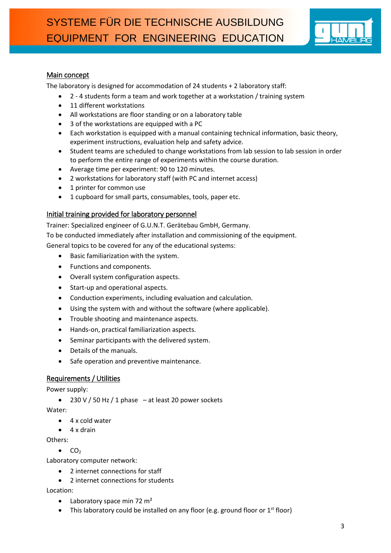

#### <span id="page-2-0"></span>Main concept

The laboratory is designed for accommodation of 24 students + 2 laboratory staff:

- 2 4 students form a team and work together at a workstation / training system
- 11 different workstations
- All workstations are floor standing or on a laboratory table
- 3 of the workstations are equipped with a PC
- Each workstation is equipped with a manual containing technical information, basic theory, experiment instructions, evaluation help and safety advice.
- Student teams are scheduled to change workstations from lab session to lab session in order to perform the entire range of experiments within the course duration.
- Average time per experiment: 90 to 120 minutes.
- 2 workstations for laboratory staff (with PC and internet access)
- 1 printer for common use
- 1 cupboard for small parts, consumables, tools, paper etc.

#### <span id="page-2-1"></span>Initial training provided for laboratory personnel

Trainer: Specialized engineer of G.U.N.T. Gerätebau GmbH, Germany.

To be conducted immediately after installation and commissioning of the equipment.

General topics to be covered for any of the educational systems:

- Basic familiarization with the system.
- Functions and components.
- Overall system configuration aspects.
- Start-up and operational aspects.
- Conduction experiments, including evaluation and calculation.
- Using the system with and without the software (where applicable).
- Trouble shooting and maintenance aspects.
- Hands-on, practical familiarization aspects.
- Seminar participants with the delivered system.
- Details of the manuals.
- Safe operation and preventive maintenance.

#### <span id="page-2-2"></span>Requirements / Utilities

Power supply:

 $\bullet$  230 V / 50 Hz / 1 phase – at least 20 power sockets

Water:

- 4 x cold water
- $\bullet$  4 x drain

Others:

 $\bullet$  CO<sub>2</sub>

Laboratory computer network:

- 2 internet connections for staff
- 2 internet connections for students

Location:

- $\bullet$  Laboratory space min 72 m<sup>2</sup>
- This laboratory could be installed on any floor (e.g. ground floor or  $1<sup>st</sup>$  floor)